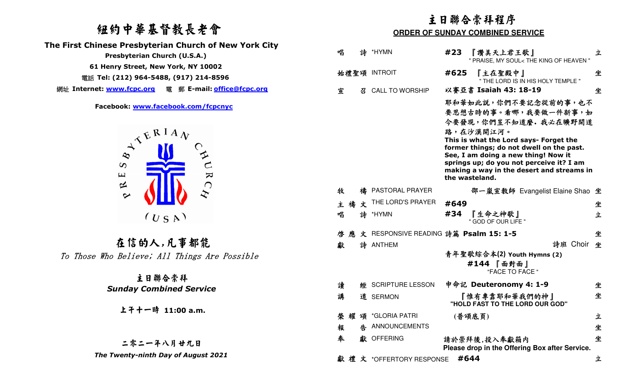## 紐約中華基督教長老會

 **The First Chinese Presbyterian Church of New York City** 

**61 Henry Street, New York, NY 10002** 

電話 **Tel: (212) 964-5488, (917) 214-8596** 

網址 **Internet: www.fcpc.org** 電 郵 **E-mail: office@fcpc.org**



在信的人,凡事都能To Those Who Believe; All Things Are Possible

## 主日聯合崇拜  *Sunday Combined Service*

## 二零二一年八月廿九日

|                                                                                                                                              | 主日聯合崇拜程序                                |                  |                                       |      |                                                                                                                                                                                                                                                                                                                           |   |  |
|----------------------------------------------------------------------------------------------------------------------------------------------|-----------------------------------------|------------------|---------------------------------------|------|---------------------------------------------------------------------------------------------------------------------------------------------------------------------------------------------------------------------------------------------------------------------------------------------------------------------------|---|--|
| 纽约中華基督教長老會                                                                                                                                   | <b>ORDER OF SUNDAY COMBINED SERVICE</b> |                  |                                       |      |                                                                                                                                                                                                                                                                                                                           |   |  |
| inese Presbyterian Church of New York City<br>Presbyterian Church (U.S.A.)                                                                   | 唱                                       |                  | 詩 *HYMN                               | #23  | 『讚美天上君王歌』<br>" PRAISE, MY SOUL< THE KING OF HEAVEN                                                                                                                                                                                                                                                                        | 立 |  |
| 1 Henry Street, New York, NY 10002<br>Tel: (212) 964-5488, (917) 214-8596                                                                    |                                         |                  | 始禮聖頌 INTROIT                          | #625 | 『主在聖殿中』                                                                                                                                                                                                                                                                                                                   | 坐 |  |
|                                                                                                                                              | 宣                                       | $\boldsymbol{Z}$ | <b>CALL TO WORSHIP</b>                |      | " THE LORD IS IN HIS HOLY TEMPLE "<br>以賽亞書 Isaiah 43: 18-19                                                                                                                                                                                                                                                               | 坐 |  |
| Facebook: www.facebook.com/fcpcnyc<br>ATERIAN<br>$\mathbf{A}^{\mathbf{U}}$ $\mathbf{R}^{\mathbf{C}}$<br>$\infty$<br>$\mathbf{\underline{u}}$ |                                         |                  |                                       |      | 耶和華如此説,你們不要記念從前的事,也不<br>要思想古時的事。看哪,我要做一件新事,如<br>今要發現,你們豈不知道麼。我必在曠野開道<br>路,在沙漠開江河。<br>This is what the Lord says- Forget the<br>former things; do not dwell on the past.<br>See, I am doing a new thing! Now it<br>springs up; do you not perceive it? I am<br>making a way in the desert and streams in<br>the wasteland. |   |  |
| $\approx$<br>$\rightarrow$                                                                                                                   | 牧                                       | 橲                | PASTORAL PRAYER                       |      | 邵一嵐宣教師 Evangelist Elaine Shao 坐                                                                                                                                                                                                                                                                                           |   |  |
|                                                                                                                                              | 主禧                                      | 文                | THE LORD'S PRAYER                     | #649 |                                                                                                                                                                                                                                                                                                                           | 坐 |  |
| (U S A)                                                                                                                                      | 唱                                       |                  | 詩 *HYMN                               | #34  | 『生命之神歌』<br>" GOD OF OUR LIFE "                                                                                                                                                                                                                                                                                            | 立 |  |
|                                                                                                                                              | 啓應                                      |                  | 文 RESPONSIVE READING 詩篇 Psalm 15: 1-5 |      |                                                                                                                                                                                                                                                                                                                           | 坐 |  |
| 在信的人,凡事都能                                                                                                                                    | 獻                                       |                  | 詩 ANTHEM                              |      | 詩班 Choir 坐                                                                                                                                                                                                                                                                                                                |   |  |
| Who Believe; All Things Are Possible                                                                                                         |                                         |                  |                                       |      | 青年聖歌綜合本(2) Youth Hymns (2)<br>#144 『面對面』<br>"FACE TO FACE"                                                                                                                                                                                                                                                                |   |  |
| 主日聯合崇拜<br><b>Sunday Combined Service</b>                                                                                                     | 讀                                       |                  | <b># SCRIPTURE LESSON</b>             |      | 申命記 Deuteronomy 4: 1-9                                                                                                                                                                                                                                                                                                    | 坐 |  |
|                                                                                                                                              | 講                                       |                  | 道 SERMON                              |      | 『惟有專靠耶和華我們的神』<br>"HOLD FAST TO THE LORD OUR GOD"                                                                                                                                                                                                                                                                          | 坐 |  |
| 上子十一時 11:00 a.m.                                                                                                                             | 榮 耀                                     |                  | 頌 *GLORIA PATRI                       |      | (普頌底頁)                                                                                                                                                                                                                                                                                                                    | 立 |  |
|                                                                                                                                              | 報                                       | 牛                | ANNOUNCEMENTS                         |      |                                                                                                                                                                                                                                                                                                                           | 坐 |  |
| 二零二一年八月廿九日                                                                                                                                   | 奉                                       |                  | 獻 OFFERING                            |      | 請於崇拜後,投入奉獻箱内<br>Please drop in the Offering Box after Service.                                                                                                                                                                                                                                                            | 坐 |  |
| The Twenty-ninth Day of August 2021                                                                                                          |                                         |                  | 獻禮文 *OFFERTORY RESPONSE               | #644 |                                                                                                                                                                                                                                                                                                                           | 立 |  |
|                                                                                                                                              |                                         |                  |                                       |      |                                                                                                                                                                                                                                                                                                                           |   |  |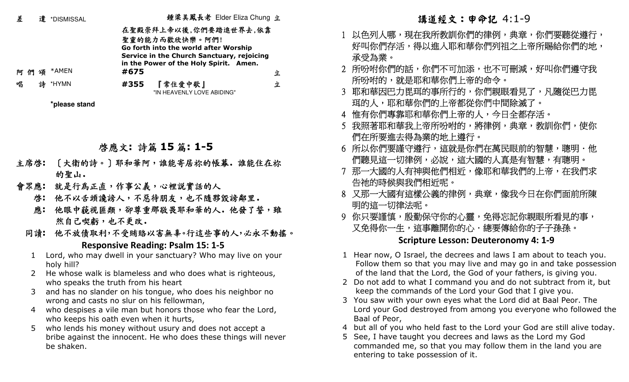| 差              | 遣 *DISMISSAL                              |      | 鍾梁美鳳長老 Elder Eliza Chung 立                                                          |   |                |
|----------------|-------------------------------------------|------|-------------------------------------------------------------------------------------|---|----------------|
|                |                                           |      | 在聖殿崇拜上帝以後,你們要踏進世界去,依靠<br>聖靈的能力而歡欣快樂。阿們!                                             |   | $\mathbf{1}$   |
|                |                                           |      | Go forth into the world after Worship<br>Service in the Church Sanctuary, rejoicing |   |                |
|                |                                           |      | in the Power of the Holy Spirit. Amen.                                              |   |                |
| 阿們頌            | *AMEN                                     | #675 |                                                                                     | 立 | $\overline{2}$ |
| 唱              | 詩 *HYMN                                   | #355 | 『常住愛中歌』<br>"IN HEAVENLY LOVE ABIDING"                                               | 立 | 3              |
|                | *please stand                             |      |                                                                                     |   |                |
|                |                                           |      |                                                                                     |   | $\overline{4}$ |
|                |                                           |      |                                                                                     |   | 5              |
|                |                                           |      | 啓應文:詩篇 15 篇:1-5                                                                     |   | 6              |
| 主席啓:           |                                           |      | [大衛的詩。] 耶和華阿,誰能寄居祢的帳幕。誰能住在祢                                                         |   |                |
|                | 的聖山.                                      |      |                                                                                     |   | $\overline{7}$ |
| 會眾應:           |                                           |      | 就是行為正直,作事公義,心裡說實話的人                                                                 |   |                |
|                |                                           |      | 啓: 他不以舌頭讒謗人,不惡待朋友,也不隨夥毀謗鄰里。                                                         |   | 8              |
| 應:             |                                           |      | 他眼中藐視匪類,卻尊重那敬畏耶和華的人。他發了誓,雖                                                          |   |                |
|                | 然自己喫虧,也不更改.                               |      |                                                                                     |   | 9              |
|                |                                           |      | 同讀: 他不放債取利,不受賄賂以害無辜。行這些事的人,必永不動搖。                                                   |   |                |
|                |                                           |      | <b>Responsive Reading: Psalm 15: 1-5</b>                                            |   |                |
| $\mathbf 1$    |                                           |      | Lord, who may dwell in your sanctuary? Who may live on your                         |   | $\mathbf{1}$   |
|                | holy hill?                                |      |                                                                                     |   |                |
| $\overline{2}$ |                                           |      | He whose walk is blameless and who does what is righteous,                          |   | $\overline{2}$ |
| 3              | who speaks the truth from his heart       |      | and has no slander on his tongue, who does his neighbor no                          |   |                |
|                | wrong and casts no slur on his fellowman, |      |                                                                                     |   | 3              |
| 4              |                                           |      | who despises a vile man but honors those who fear the Lord,                         |   |                |
|                | who keeps his oath even when it hurts,    |      |                                                                                     |   |                |
| 5.             |                                           |      | who lends his money without usury and does not accept a                             |   | $\overline{4}$ |
|                |                                           |      | bribe against the innocent. He who does these things will never                     |   | 5              |

be shaken.

- 1 以色列人哪,現在我所教訓你們的律例,典章,你們要聽從遵行,- 好叫你們存活,得以進入耶和華你們列祖之上帝所賜給你們的地, 承受為業。
- 2 所吩咐你們的話,你們不可加添,也不可刪減,好叫你們遵守我 所吩咐的,就是耶和華你們上帝的命令。
- 3 耶和華因巴力毘珥的事所行的,你們親眼看見了,凡隨從巴力毘 珥的人,耶和華你們的上帝都從你們中間除滅了。
- 4 惟有你們專靠耶和華你們上帝的人,今日全都存活。
- 5 我照著耶和華我上帝所吩咐的,將律例,典章,教訓你們,使你 們在所要進去得為業的地上遵行。
- 6 所以你們要謹守遵行,這就是你們在萬民眼前的智慧,聰明.他 們聽見這一切律例,必說,這大國的人真是有智慧,有聰明。
- 7 那一大國的人有神與他們相近,像耶和華我們的上帝,在我們求 告祂的時候與我們相近呢。
- 8 又那一大國有這樣公義的律例,典章,像我今日在你們面前所陳 明的這一切律法呢。
- 9 你只要謹慎,殷勤保守你的心靈,免得忘記你親眼所看見的事, 又免得你一生,這事離開你的心.總要傳給你的子子孫孫。 **Scripture Lesson: Deuteronomy 4: 1-9**
- Hear now, O Israel, the decrees and laws I am about to teach you. Follow them so that you may live and may go in and take possession of the land that the Lord, the God of your fathers, is giving you.
- 2 Do not add to what I command you and do not subtract from it, but keep the commands of the Lord your God that I give you.
- 3 You saw with your own eyes what the Lord did at Baal Peor. The Lord your God destroyed from among you everyone who followed the Baal of Peor,
- 4 but all of you who held fast to the Lord your God are still alive today.
- See, I have taught you decrees and laws as the Lord my God commanded me, so that you may follow them in the land you are entering to take possession of it.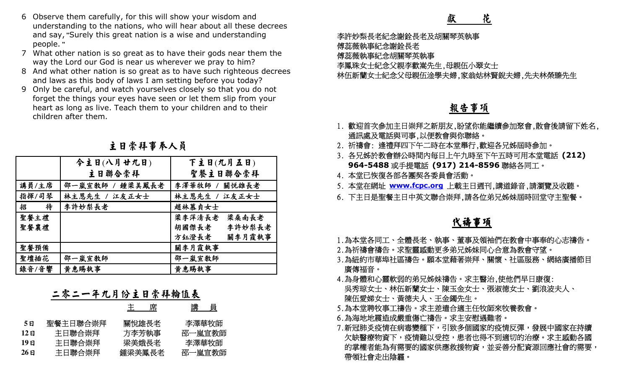- 6 Observe them carefully, for this will show your wisdom and understanding to the nations, who will hear about all these decrees and say, **"**Surely this great nation is a wise and understanding people. **"**
- 7 What other nation is so great as to have their gods near them the way the Lord our God is near us wherever we pray to him?
- 8 And what other nation is so great as to have such righteous decrees and laws as this body of laws I am setting before you today?
- 9 Only be careful, and watch yourselves closely so that you do not forget the things your eyes have seen or let them slip from your heart as long as live. Teach them to your children and to their children after them.

|          | 6 Observe them carefully, for this will show your wisdom and                            | understanding to the nations, who will hear about all these decrees   | 花<br>獻                                       |
|----------|-----------------------------------------------------------------------------------------|-----------------------------------------------------------------------|----------------------------------------------|
|          | and say, "Surely this great nation is a wise and understanding                          | 李許妙梨長老紀念謝銓長老及胡關琴英執事                                                   |                                              |
| people." |                                                                                         |                                                                       | 傅蕊薇執事紀念謝銓長老                                  |
|          | What other nation is so great as to have their gods near them the                       | 傅蕊薇執事紀念胡關琴英執事                                                         |                                              |
|          | way the Lord our God is near us wherever we pray to him?                                |                                                                       | 李鳳珠女士紀念父親李歡嵩先生,母親伍小翠女                        |
|          | and laws as this body of laws I am setting before you today?                            | 8 And what other nation is so great as to have such righteous decrees | 林伍新蘭女士紀念父母親伍淦學夫婦,家翁姑林                        |
|          | 9 Only be careful, and watch yourselves closely so that you do not                      |                                                                       |                                              |
|          | forget the things your eyes have seen or let them slip from your                        |                                                                       |                                              |
|          | heart as long as live. Teach them to your children and to their<br>children after them. |                                                                       | 報告事項                                         |
|          |                                                                                         |                                                                       | 1. 歡迎首次參加主日崇拜之新朋友,盼望你能糾                      |
|          |                                                                                         |                                                                       | 通訊處及電話與司事,以便教會與你聯絡。                          |
|          | 主日崇拜事奉人員                                                                                |                                                                       | 2. 祈禱會: 逢禮拜四下午二時在本堂舉行,歡                      |
|          |                                                                                         |                                                                       | 3. 各兄姊於教會辦公時間內每日上午九時至下                       |
|          | 今主日(八月廿九日)                                                                              | 下主日(九月五日)                                                             | 964-5488 或手提電話 (917) 214-85                  |
|          | 主日聯合崇拜                                                                                  | 聖餐主日聯合崇拜                                                              | 4. 本堂已恢復各部各團契各委員會活動。                         |
| 講員/主席    | 邵一嵐宣教師 / 鍾梁美鳳長老                                                                         | 李澤華牧師 /<br>關悦雄長老                                                      | 5. 本堂在網址 www.fcpc.org 上載主日週刊                 |
| 指揮/司琴    | 林主恩先生 / 江友正女士                                                                           | 林主恩先生 /<br>江友正女士                                                      | 6. 下主日是聖餐主日中英文聯合崇拜,請各位身                      |
| 待<br>招   | 李許妙梨長老                                                                                  | 趙林慕貞女士                                                                |                                              |
| 聖餐主禮     |                                                                                         | 梁李萍清長老<br>梁桑南長老                                                       | 代禱事項                                         |
| 聖餐襄禮     |                                                                                         | 胡國傑長老<br>李許妙梨長老                                                       |                                              |
|          |                                                                                         | 方鈺澄長老<br>關李月霞執事                                                       | 1.為本堂各同工、全體長老、執事、董事及領补                       |
| 聖餐預備     |                                                                                         | 關李月霞執事                                                                | 2.為祈禱會禱告。求聖靈感動更多弟兄姊妹同心                       |
| 聖壇插花     | 邵一嵐宣教師                                                                                  | 邵一嵐宣教師                                                                | 3.為紐約市華埠社區禱告。願本堂藉著崇拜、關                       |
| 錄音/音響    | 黄惠賜執事                                                                                   | 黄惠賜執事                                                                 | 廣傳福音。                                        |
|          |                                                                                         |                                                                       | 4.為身體和心靈軟弱的弟兄姊妹禱告。求主醫                        |
|          | 年九月份主日崇拜輪值表<br>$\rightarrow$ $\rightsquigarrow$ $\rightarrow$ $\leftarrow$              |                                                                       | 吳秀琼女士、林伍新蘭女士、陳玉金女士、引                         |
|          | 主席                                                                                      | 講員                                                                    | 陳伍愛娣女士、黃德夫人、王金鐲先生。<br>5.為本堂聘牧事工禱告。求主差遣合適主任牧自 |
|          |                                                                                         |                                                                       | 6.為海地地震造成嚴重傷亡禱告。求主安慰遇難                       |
| 5E       | 聖餐主日聯合崇拜<br>關悅雄長老                                                                       | 李澤華牧師                                                                 | 7.新冠肺炎疫情在病毒變種下,引致多個國家的                       |
| 12E      | 主日聯合崇拜<br>方李芳執事                                                                         | 邵一嵐宣教師                                                                | 欠缺醫療物資下,疫情難以受控,患者也得Z                         |
| 19E      | 主日聯合崇拜<br>梁美娥長老                                                                         | 李澤華牧師                                                                 | 的掌權者能為有需要的國家供應救援物資,                          |
| 26E      | 主日聯合崇拜<br>鍾梁美鳳長老                                                                        | 邵一嵐宣教師                                                                |                                              |

## 主日崇拜事奉人員

|      |          | 席<br>主 | 講   員  |
|------|----------|--------|--------|
| 5日   | 聖餐主日聯合崇拜 | 關悅雄長老  | 李澤華牧師  |
| 12 E | 主日聯合崇拜   | 方李芳執事  | 邵一嵐宣教師 |
| 19日  | 主日聯合崇拜   | 梁美娥長老  | 李澤華牧師  |
| 26 E | 主日聯合崇拜   | 鍾梁美鳳長老 | 邵一嵐宣教師 |

- 李許妙梨長老紀念謝銓長老及胡關琴英執事
- 傅蕊薇執事紀念謝銓長老
- 傅蕊薇執事紀念胡關琴英執事

李鳳珠女士紀念父親李歡嵩先生,母親伍小翠女士

林伍新蘭女士紀念父母親伍淦學夫婦,家翁姑林賢銳夫婦,先夫林榮臻先生

- 1. 歡迎首次參加主日崇拜之新朋友,盼望你能繼續參加聚會,散會後請留下姓名, 通訊處及電話與司事,以便教會與你聯絡。
- 2. 祈禱會: 逢禮拜四下午二時在本堂舉行,歡迎各兄姊屆時參加。
- 3. 各兄姊於教會辦公時間內每日上午九時至下午五時可用本堂電話 **(212) 964-5488**或手提電話 **(917) 214-8596**聯絡各同工。
- 4. 本堂已恢復各部各團契各委員會活動。
- 5. 本堂在網址 **www.fcpc.org** 上載主日週刊,講道錄音,請瀏覽及收聽。
- 6. 下主日是聖餐主日中英文聯合崇拜,請各位弟兄姊妹屆時回堂守主聖餐。

## **化学的**中心的 化学生的 化 禱事項

- 1.為本堂各同工、全體長老、執事、董事及領袖們在教會中事奉的心志禱告。
- 2.為祈禱會禱告。求聖靈感動更多弟兄姊妹同心合意為教會守望。
- 3.為紐約市華埠社區禱告。願本堂藉著崇拜、關懷、社區服務、網絡廣播節目 廣傳福音。
- 4.為身體和心靈軟弱的弟兄姊妹禱告。求主醫治,使他們早日康復: 吳秀琼女士、林伍新蘭女士、陳玉金女士、張淑德女士、劉浪波夫人、 陳伍愛娣女士、黃德夫人、王金鐲先生。
- 5.為本堂聘牧事工禱告。求主差遣合適主任牧師來牧養教會。
- 6.為海地地震造成嚴重傷亡禱告。求主安慰遇難者。
- 7.新冠肺炎疫情在病毒變種下,引致多個國家的疫情反彈,發展中國家在持續 欠缺醫療物資下,疫情難以受控,患者也得不到適切的治療。求主感動各國 的掌權者能為有需要的國家供應救援物資,並妥善分配資源回應社會的需要, 帶領社會走出陰霾。